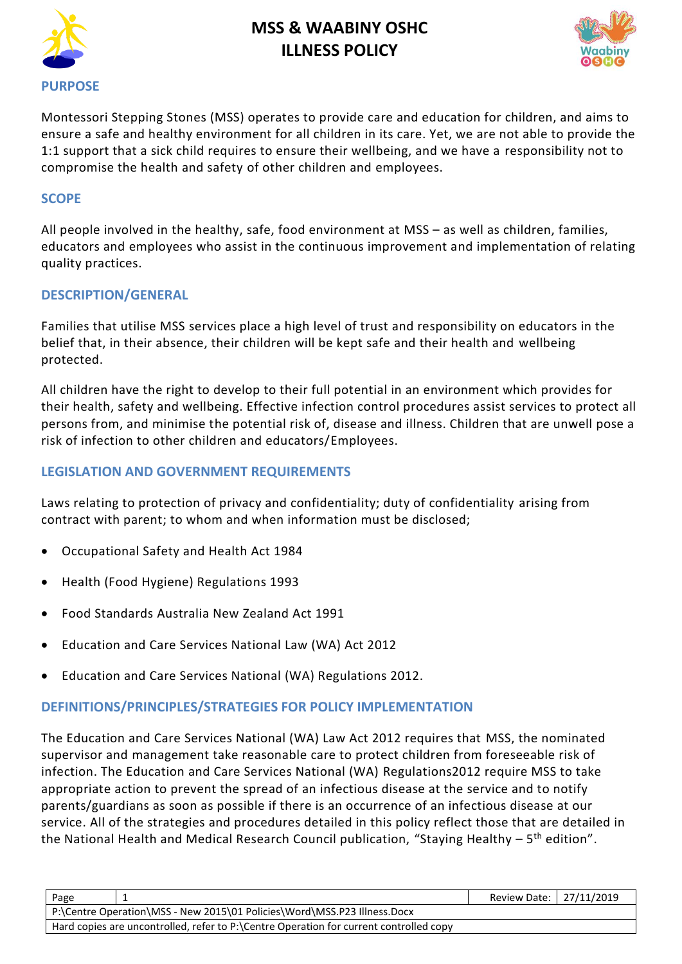



Montessori Stepping Stones (MSS) operates to provide care and education for children, and aims to ensure a safe and healthy environment for all children in its care. Yet, we are not able to provide the 1:1 support that a sick child requires to ensure their wellbeing, and we have a responsibility not to compromise the health and safety of other children and employees.

#### **SCOPE**

All people involved in the healthy, safe, food environment at MSS – as well as children, families, educators and employees who assist in the continuous improvement and implementation of relating quality practices.

#### **DESCRIPTION/GENERAL**

Families that utilise MSS services place a high level of trust and responsibility on educators in the belief that, in their absence, their children will be kept safe and their health and wellbeing protected.

All children have the right to develop to their full potential in an environment which provides for their health, safety and wellbeing. Effective infection control procedures assist services to protect all persons from, and minimise the potential risk of, disease and illness. Children that are unwell pose a risk of infection to other children and educators/Employees.

### **LEGISLATION AND GOVERNMENT REQUIREMENTS**

Laws relating to protection of privacy and confidentiality; duty of confidentiality arising from contract with parent; to whom and when information must be disclosed;

- Occupational Safety and Health Act 1984
- [Health \(Food Hygiene\) Regulations 1993](http://www.slp.wa.gov.au/legislation/agency.nsf/docep_main_mrtitle_4245_homepage.html)
- Food Standards Australia New Zealand Act 1991
- Education and Care Services National Law (WA) Act 2012
- Education and Care Services National (WA) Regulations 2012.

#### **DEFINITIONS/PRINCIPLES/STRATEGIES FOR POLICY IMPLEMENTATION**

The Education and Care Services National (WA) Law Act 2012 requires that MSS, the nominated supervisor and management take reasonable care to protect children from foreseeable risk of infection. The Education and Care Services National (WA) Regulations2012 require MSS to take appropriate action to prevent the spread of an infectious disease at the service and to notify parents/guardians as soon as possible if there is an occurrence of an infectious disease at our service. All of the strategies and procedures detailed in this policy reflect those that are detailed in the National Health and Medical Research Council publication, "Staying Healthy - 5<sup>th</sup> edition".

| Page                                                                                   |  | Review Date:   27/11/2019 |  |
|----------------------------------------------------------------------------------------|--|---------------------------|--|
| P:\Centre Operation\MSS - New 2015\01 Policies\Word\MSS.P23 Illness.Docx               |  |                           |  |
| Hard copies are uncontrolled, refer to P:\Centre Operation for current controlled copy |  |                           |  |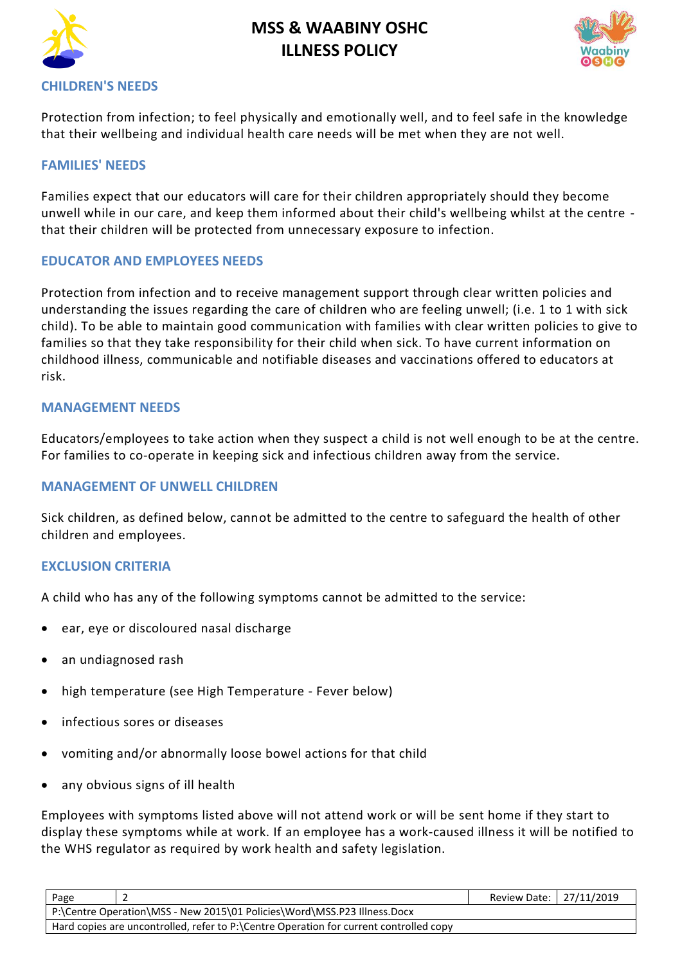



#### **CHILDREN'S NEEDS**

Protection from infection; to feel physically and emotionally well, and to feel safe in the knowledge that their wellbeing and individual health care needs will be met when they are not well.

#### **FAMILIES' NEEDS**

Families expect that our educators will care for their children appropriately should they become unwell while in our care, and keep them informed about their child's wellbeing whilst at the centre that their children will be protected from unnecessary exposure to infection.

#### **EDUCATOR AND EMPLOYEES NEEDS**

Protection from infection and to receive management support through clear written policies and understanding the issues regarding the care of children who are feeling unwell; (i.e. 1 to 1 with sick child). To be able to maintain good communication with families with clear written policies to give to families so that they take responsibility for their child when sick. To have current information on childhood illness, communicable and notifiable diseases and vaccinations offered to educators at risk.

#### **MANAGEMENT NEEDS**

Educators/employees to take action when they suspect a child is not well enough to be at the centre. For families to co-operate in keeping sick and infectious children away from the service.

#### **MANAGEMENT OF UNWELL CHILDREN**

Sick children, as defined below, cannot be admitted to the centre to safeguard the health of other children and employees.

### **EXCLUSION CRITERIA**

A child who has any of the following symptoms cannot be admitted to the service:

- ear, eye or discoloured nasal discharge
- an undiagnosed rash
- high temperature (see High Temperature Fever below)
- infectious sores or diseases
- vomiting and/or abnormally loose bowel actions for that child
- any obvious signs of ill health

Employees with symptoms listed above will not attend work or will be sent home if they start to display these symptoms while at work. If an employee has a work-caused illness it will be notified to the WHS regulator as required by work health and safety legislation.

| Page                                                                                   |  | Review Date: 27/11/2019 |  |  |
|----------------------------------------------------------------------------------------|--|-------------------------|--|--|
| P:\Centre Operation\MSS - New 2015\01 Policies\Word\MSS.P23 Illness.Docx               |  |                         |  |  |
| Hard copies are uncontrolled, refer to P:\Centre Operation for current controlled copy |  |                         |  |  |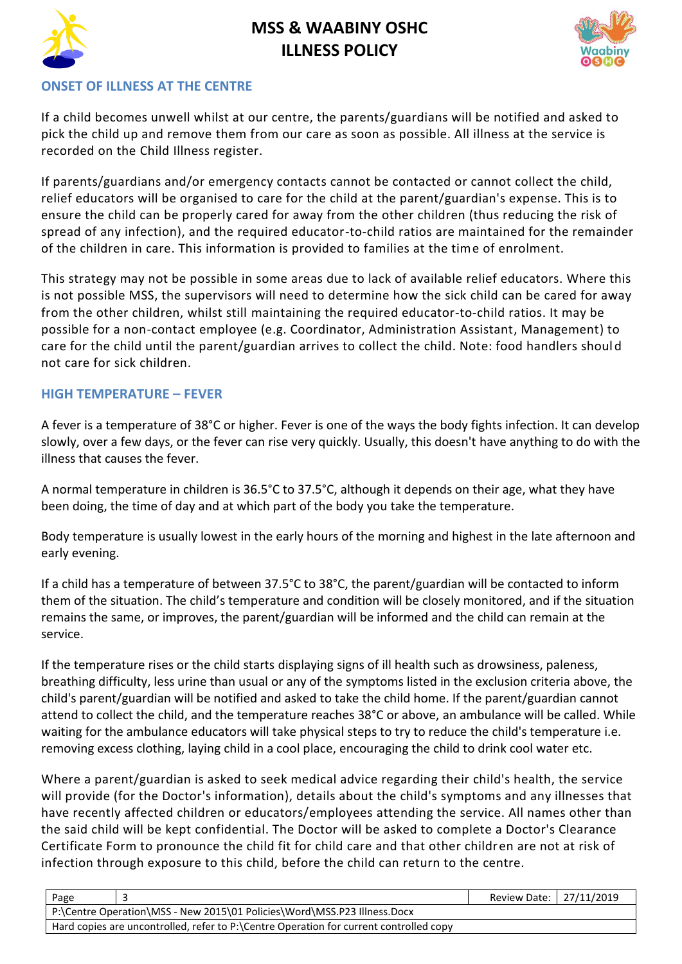

## **ONSET OF ILLNESS AT THE CENTRE**

If a child becomes unwell whilst at our centre, the parents/guardians will be notified and asked to pick the child up and remove them from our care as soon as possible. All illness at the service is recorded on the Child Illness register.

If parents/guardians and/or emergency contacts cannot be contacted or cannot collect the child, relief educators will be organised to care for the child at the parent/guardian's expense. This is to ensure the child can be properly cared for away from the other children (thus reducing the risk of spread of any infection), and the required educator-to-child ratios are maintained for the remainder of the children in care. This information is provided to families at the time of enrolment.

This strategy may not be possible in some areas due to lack of available relief educators. Where this is not possible MSS, the supervisors will need to determine how the sick child can be cared for away from the other children, whilst still maintaining the required educator-to-child ratios. It may be possible for a non-contact employee (e.g. Coordinator, Administration Assistant, Management) to care for the child until the parent/guardian arrives to collect the child. Note: food handlers should not care for sick children.

## **HIGH TEMPERATURE – FEVER**

A fever is a temperature of 38°C or higher. Fever is one of the ways the body fights infection. It can develop slowly, over a few days, or the fever can rise very quickly. Usually, this doesn't have anything to do with the illness that causes the fever.

A normal temperature in children is 36.5°C to 37.5°C, although it depends on their age, what they have been doing, the time of day and at which part of the body you take the temperature.

Body temperature is usually lowest in the early hours of the morning and highest in the late afternoon and early evening.

If a child has a temperature of between 37.5°C to 38°C, the parent/guardian will be contacted to inform them of the situation. The child's temperature and condition will be closely monitored, and if the situation remains the same, or improves, the parent/guardian will be informed and the child can remain at the service.

If the temperature rises or the child starts displaying signs of ill health such as drowsiness, paleness, breathing difficulty, less urine than usual or any of the symptoms listed in the exclusion criteria above, the child's parent/guardian will be notified and asked to take the child home. If the parent/guardian cannot attend to collect the child, and the temperature reaches 38°C or above, an ambulance will be called. While waiting for the ambulance educators will take physical steps to try to reduce the child's temperature i.e. removing excess clothing, laying child in a cool place, encouraging the child to drink cool water etc.

Where a parent/guardian is asked to seek medical advice regarding their child's health, the service will provide (for the Doctor's information), details about the child's symptoms and any illnesses that have recently affected children or educators/employees attending the service. All names other than the said child will be kept confidential. The Doctor will be asked to complete a Doctor's Clearance Certificate Form to pronounce the child fit for child care and that other children are not at risk of infection through exposure to this child, before the child can return to the centre.

| Page                                                                                   |  | Review Date: 27/11/2019 |  |
|----------------------------------------------------------------------------------------|--|-------------------------|--|
| P:\Centre Operation\MSS - New 2015\01 Policies\Word\MSS.P23 Illness.Docx               |  |                         |  |
| Hard copies are uncontrolled, refer to P:\Centre Operation for current controlled copy |  |                         |  |